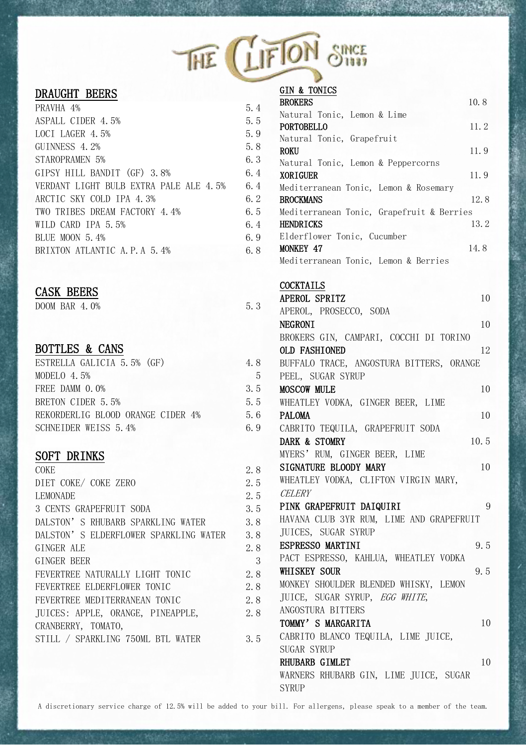|  | THE LIFTON SINCE |  |
|--|------------------|--|
|--|------------------|--|

### DRAUGHT BEERS

| 5.4 |
|-----|
| 5.5 |
| 5.9 |
| 5.8 |
| 6.3 |
| 6.4 |
| 6.4 |
| 6.2 |
| 6.5 |
| 6.4 |
| 6.9 |
| 6.8 |
|     |

# CASK BEERS

 $\overline{DOOM}$  BAR 4.0% 5.3

## BOTTLES & CANS

| ESTRELLA GALICIA 5.5% (GF)        | 4.8 |
|-----------------------------------|-----|
| MODELO 4.5%                       | 5   |
| FREE DAMM 0.0%                    | 3.5 |
| BRETON CIDER 5.5%                 | 5.5 |
| REKORDERLIG BLOOD ORANGE CIDER 4% | 5.6 |
| SCHNEIDER WEISS 5.4%              | 6.9 |

### SOFT DRINKS

| COKE                                  | 2.8 |
|---------------------------------------|-----|
| DIET COKE/ COKE ZERO                  | 2.5 |
| <b>LEMONADE</b>                       | 2.5 |
| 3 CENTS GRAPEFRUIT SODA               | 3.5 |
| DALSTON'S RHUBARB SPARKLING WATER     | 3.8 |
| DALSTON'S ELDERFLOWER SPARKLING WATER | 3.8 |
| GINGER ALE                            | 2.8 |
| GINGER BEER                           | 3   |
| FEVERTREE NATURALLY LIGHT TONIC       | 2.8 |
| FEVERTREE ELDERFLOWER TONIC           | 2.8 |
| FEVERTREE MEDITERRANEAN TONIC         | 2.8 |
| JUICES: APPLE, ORANGE, PINEAPPLE,     | 2.8 |
| CRANBERRY, TOMATO,                    |     |
| STILL / SPARKLING 750ML BTL WATER     | 3.5 |

| <b>GIN &amp; TONICS</b>                   |      |
|-------------------------------------------|------|
| <b>BROKERS</b>                            | 10.8 |
| Natural Tonic, Lemon & Lime               |      |
| <b>PORTOBELLO</b>                         | 11.2 |
| Natural Tonic, Grapefruit                 |      |
| <b>ROKU</b>                               | 11.9 |
| Natural Tonic, Lemon & Peppercorns        |      |
| <b>XORTGUER</b>                           | 11.9 |
| Mediterranean Tonic, Lemon & Rosemary     |      |
| <b>BROCKMANS</b>                          | 12.8 |
| Mediterranean Tonic, Grapefruit & Berries |      |
| <b>HENDRICKS</b>                          | 13.2 |
| Elderflower Tonic, Cucumber               |      |
| <b>MONKEY 47</b>                          | 14.8 |
| Mediterranean Tonic, Lemon & Berries      |      |

#### COCKTAILS

| APEROL SPRITZ<br>10                      |
|------------------------------------------|
| APEROL, PROSECCO, SODA                   |
| 10<br><b>NEGRONT</b>                     |
| BROKERS GIN, CAMPARI, COCCHI DI TORINO   |
| <b>OLD FASHIONED</b><br>12               |
| BUFFALO TRACE, ANGOSTURA BITTERS, ORANGE |
| PEEL, SUGAR SYRUP                        |
| <b>MOSCOW MULE</b><br>10                 |
| WHEATLEY VODKA, GINGER BEER, LIME        |
| PAI.OMA<br>10                            |
| CABRITO TEQUILA, GRAPEFRUIT SODA         |
| DARK & STOMRY<br>10.5                    |
| MYERS' RUM, GINGER BEER, LIME            |
| STGNATURE BLOODY MARY<br>10              |
| WHEATLEY VODKA, CLIFTON VIRGIN MARY,     |
| <i>CELERY</i>                            |
| PINK GRAPEFRUIT DAIQUIRI<br>9            |
| HAVANA CLUB 3YR RUM, LIME AND GRAPEFRUIT |
| <b>JUICES, SUGAR SYRUP</b>               |
| <b>ESPRESSO MARTINI</b><br>9.5           |
| PACT ESPRESSO, KAHLUA, WHEATLEY VODKA    |
| 9.5<br><b>WHISKEY SOUR</b>               |
| MONKEY SHOULDER BLENDED WHISKY, LEMON    |
| JUICE, SUGAR SYRUP, EGG WHITE,           |
| ANGOSTURA BITTERS                        |
| TOMMY'S MARGARITA<br>10                  |
|                                          |
| CABRITO BLANCO TEQUILA, LIME JUICE,      |
| SUGAR SYRUP                              |
| RHUBARB GIMLET<br>10                     |
| WARNERS RHUBARB GIN, LIME JUICE, SUGAR   |